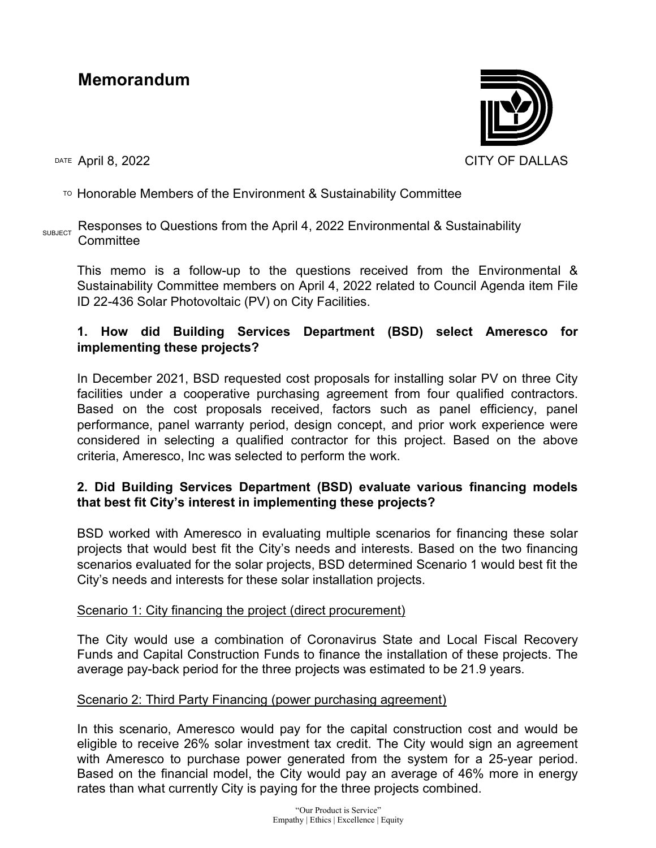# Memorandum

DATE ADITI 8, 2022 CITY OF DALLAS

# $\overline{P}$  Honorable Members of the Environment & Sustainability Committee

#### $_{SUBJECT}$  Responses to Questions from the April 4, 2022 Environmental & Sustainability **Committee**

This memo is a follow-up to the questions received from the Environmental & Sustainability Committee members on April 4, 2022 related to Council Agenda item File ID 22-436 Solar Photovoltaic (PV) on City Facilities.

# 1. How did Building Services Department (BSD) select Ameresco for implementing these projects?

In December 2021, BSD requested cost proposals for installing solar PV on three City facilities under a cooperative purchasing agreement from four qualified contractors. Based on the cost proposals received, factors such as panel efficiency, panel performance, panel warranty period, design concept, and prior work experience were considered in selecting a qualified contractor for this project. Based on the above criteria, Ameresco, Inc was selected to perform the work.

# 2. Did Building Services Department (BSD) evaluate various financing models that best fit City's interest in implementing these projects?

BSD worked with Ameresco in evaluating multiple scenarios for financing these solar projects that would best fit the City's needs and interests. Based on the two financing scenarios evaluated for the solar projects, BSD determined Scenario 1 would best fit the City's needs and interests for these solar installation projects.

#### Scenario 1: City financing the project (direct procurement)

The City would use a combination of Coronavirus State and Local Fiscal Recovery Funds and Capital Construction Funds to finance the installation of these projects. The average pay-back period for the three projects was estimated to be 21.9 years.

#### Scenario 2: Third Party Financing (power purchasing agreement)

In this scenario, Ameresco would pay for the capital construction cost and would be eligible to receive 26% solar investment tax credit. The City would sign an agreement with Ameresco to purchase power generated from the system for a 25-year period. Based on the financial model, the City would pay an average of 46% more in energy rates than what currently City is paying for the three projects combined.